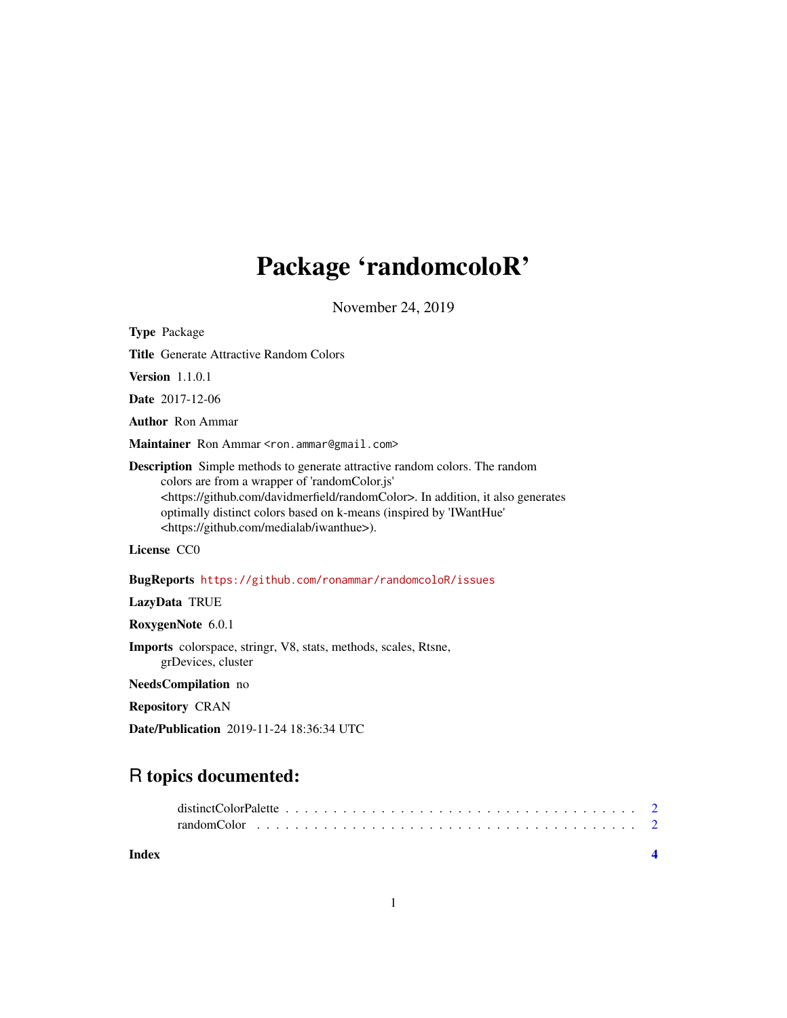## Package 'randomcoloR'

November 24, 2019

Type Package

Title Generate Attractive Random Colors

Version 1.1.0.1

Date 2017-12-06

Author Ron Ammar

Maintainer Ron Ammar <ron.ammar@gmail.com>

Description Simple methods to generate attractive random colors. The random colors are from a wrapper of 'randomColor.js' <https://github.com/davidmerfield/randomColor>. In addition, it also generates optimally distinct colors based on k-means (inspired by 'IWantHue' <https://github.com/medialab/iwanthue>).

License CC0

BugReports <https://github.com/ronammar/randomcoloR/issues>

LazyData TRUE

RoxygenNote 6.0.1

Imports colorspace, stringr, V8, stats, methods, scales, Rtsne, grDevices, cluster

NeedsCompilation no

Repository CRAN

Date/Publication 2019-11-24 18:36:34 UTC

### R topics documented:

| Index |  |
|-------|--|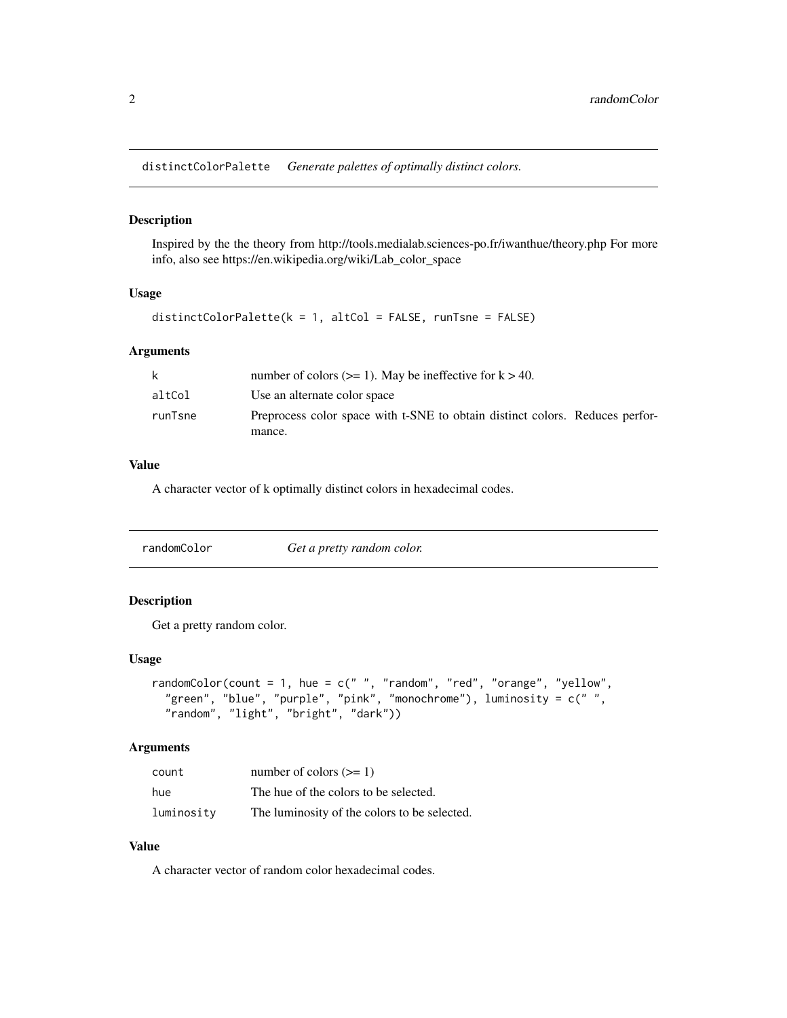<span id="page-1-0"></span>distinctColorPalette *Generate palettes of optimally distinct colors.*

#### Description

Inspired by the the theory from http://tools.medialab.sciences-po.fr/iwanthue/theory.php For more info, also see https://en.wikipedia.org/wiki/Lab\_color\_space

#### Usage

```
distinctColorPalette(k = 1, altCol = FALSE, runTsne = FALSE)
```
#### Arguments

| k       | number of colors ( $>= 1$ ). May be ineffective for $k > 40$ .               |
|---------|------------------------------------------------------------------------------|
| altCol  | Use an alternate color space                                                 |
| runTsne | Preprocess color space with t-SNE to obtain distinct colors. Reduces perfor- |
|         | mance.                                                                       |

#### Value

A character vector of k optimally distinct colors in hexadecimal codes.

| randomColor | Get a pretty random color. |
|-------------|----------------------------|
|-------------|----------------------------|

#### Description

Get a pretty random color.

#### Usage

```
randomColor(count = 1, hue = c(" ", "random", "red", "orange", "yellow",
"green", "blue", "purple", "pink", "monochrome"), luminosity = c(" ",
 "random", "light", "bright", "dark"))
```
#### Arguments

| count      | number of colors $(>= 1)$                    |
|------------|----------------------------------------------|
| hue        | The hue of the colors to be selected.        |
| luminosity | The luminosity of the colors to be selected. |

#### Value

A character vector of random color hexadecimal codes.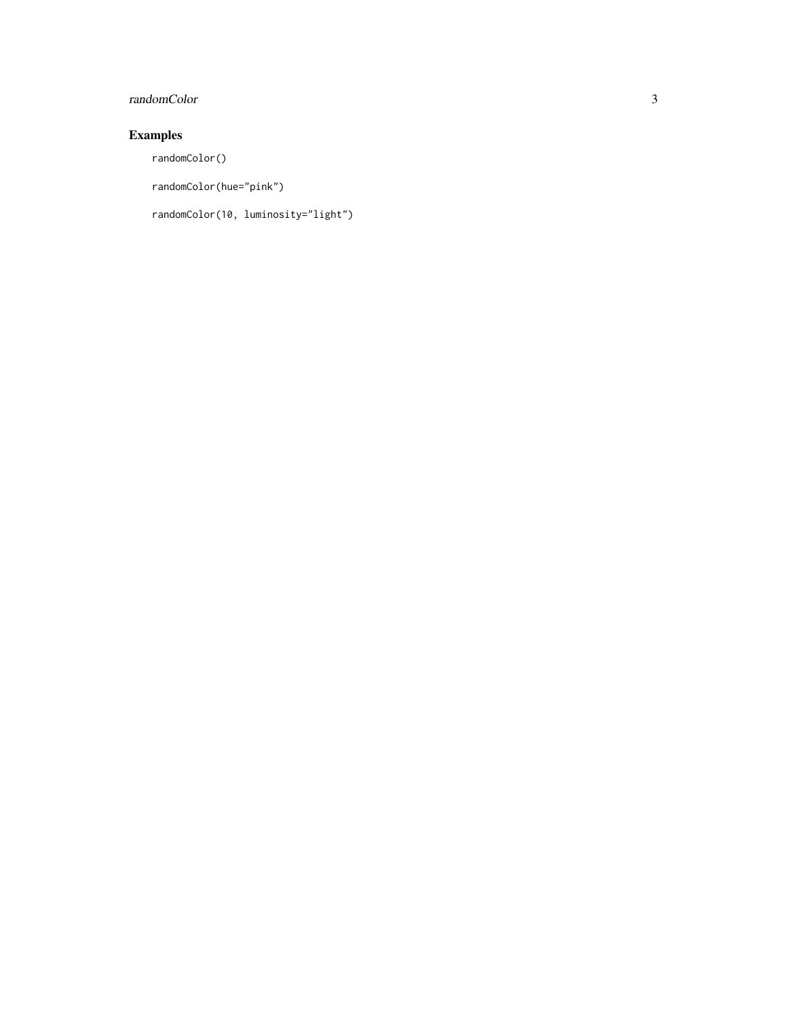#### randomColor 3

#### Examples

randomColor()

randomColor(hue="pink")

randomColor(10, luminosity="light")